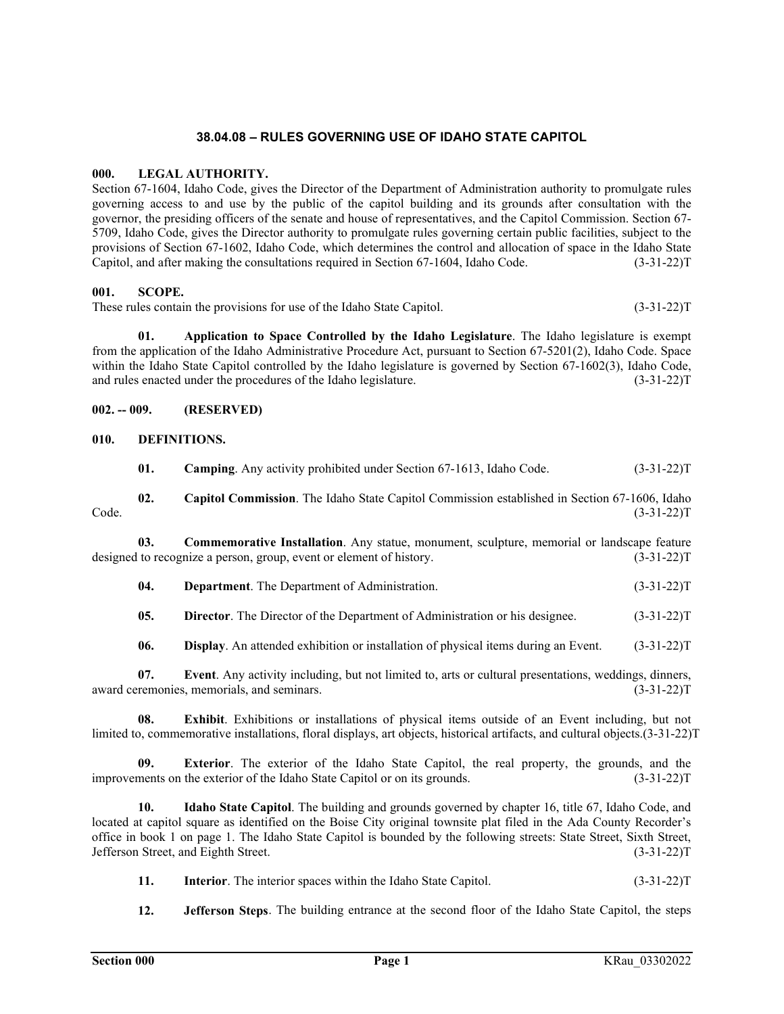# **38.04.08 – RULES GOVERNING USE OF IDAHO STATE CAPITOL**

#### **000. LEGAL AUTHORITY.**

Section 67-1604, Idaho Code, gives the Director of the Department of Administration authority to promulgate rules governing access to and use by the public of the capitol building and its grounds after consultation with the governor, the presiding officers of the senate and house of representatives, and the Capitol Commission. Section 67- 5709, Idaho Code, gives the Director authority to promulgate rules governing certain public facilities, subject to the provisions of Section 67-1602, Idaho Code, which determines the control and allocation of space in the Idaho State Capitol, and after making the consultations required in Section 67-1604, Idaho Code. (3-31-22)T

#### **001. SCOPE.**

These rules contain the provisions for use of the Idaho State Capitol. (3-31-22) T

**01. Application to Space Controlled by the Idaho Legislature**. The Idaho legislature is exempt from the application of the Idaho Administrative Procedure Act, pursuant to Section 67-5201(2), Idaho Code. Space within the Idaho State Capitol controlled by the Idaho legislature is governed by Section 67-1602(3), Idaho Code, and rules enacted under the procedures of the Idaho legislature. (3-31-22)T

### **002. -- 009. (RESERVED)**

#### **010. DEFINITIONS.**

|       | Camping. Any activity prohibited under Section 67-1613, Idaho Code.                                 | $(3-31-22)T$ |
|-------|-----------------------------------------------------------------------------------------------------|--------------|
|       | <b>Capitol Commission.</b> The Idaho State Capitol Commission established in Section 67-1606, Idaho |              |
| Code. |                                                                                                     | $(3-31-22)T$ |

**03. Commemorative Installation**. Any statue, monument, sculpture, memorial or landscape feature designed to recognize a person, group, event or element of history. (3-31-22)T

| 04. | <b>Department.</b> The Department of Administration. | $(3-31-22)T$ |
|-----|------------------------------------------------------|--------------|
|     |                                                      |              |

**05. Director**. The Director of the Department of Administration or his designee. (3-31-22)T

**06. Display**. An attended exhibition or installation of physical items during an Event. (3-31-22)T

**07. Event**. Any activity including, but not limited to, arts or cultural presentations, weddings, dinners, award ceremonies, memorials, and seminars. (3-31-22)T

**08. Exhibit**. Exhibitions or installations of physical items outside of an Event including, but not limited to, commemorative installations, floral displays, art objects, historical artifacts, and cultural objects.(3-31-22)T

**09. Exterior**. The exterior of the Idaho State Capitol, the real property, the grounds, and the improvements on the exterior of the Idaho State Capitol or on its grounds. (3-31-22)T

**10. Idaho State Capitol**. The building and grounds governed by chapter 16, title 67, Idaho Code, and located at capitol square as identified on the Boise City original townsite plat filed in the Ada County Recorder's office in book 1 on page 1. The Idaho State Capitol is bounded by the following streets: State Street, Sixth Street, Jefferson Street, and Eighth Street. (3-31-22)T

- **11. Interior**. The interior spaces within the Idaho State Capitol. (3-31-22)T
- **12. Jefferson Steps**. The building entrance at the second floor of the Idaho State Capitol, the steps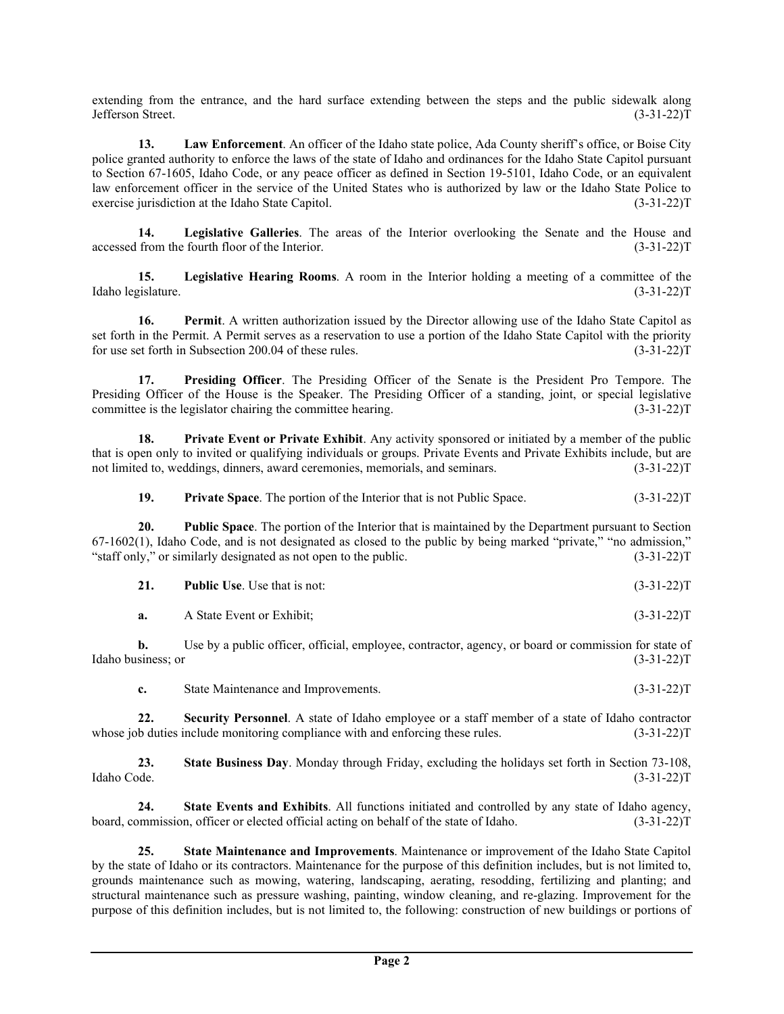extending from the entrance, and the hard surface extending between the steps and the public sidewalk along Jefferson Street. (3-31-22)T

**13. Law Enforcement**. An officer of the Idaho state police, Ada County sheriff's office, or Boise City police granted authority to enforce the laws of the state of Idaho and ordinances for the Idaho State Capitol pursuant to Section 67-1605, Idaho Code, or any peace officer as defined in Section 19-5101, Idaho Code, or an equivalent law enforcement officer in the service of the United States who is authorized by law or the Idaho State Police to exercise jurisdiction at the Idaho State Capitol. (3-31-22) T

**14. Legislative Galleries**. The areas of the Interior overlooking the Senate and the House and accessed from the fourth floor of the Interior. (3-31-22)T

**15. Legislative Hearing Rooms**. A room in the Interior holding a meeting of a committee of the Idaho legislature. (3-31-22)T

**16. Permit**. A written authorization issued by the Director allowing use of the Idaho State Capitol as set forth in the Permit. A Permit serves as a reservation to use a portion of the Idaho State Capitol with the priority for use set forth in Subsection 200.04 of these rules. (3-31-22)T

**17. Presiding Officer**. The Presiding Officer of the Senate is the President Pro Tempore. The Presiding Officer of the House is the Speaker. The Presiding Officer of a standing, joint, or special legislative committee is the legislator chairing the committee hearing. (3-31-22)T

**18. Private Event or Private Exhibit**. Any activity sponsored or initiated by a member of the public that is open only to invited or qualifying individuals or groups. Private Events and Private Exhibits include, but are not limited to, weddings, dinners, award ceremonies, memorials, and seminars. (3-31-22) (3-31-22) T

**19. Private Space**. The portion of the Interior that is not Public Space. (3-31-22)T

**20. Public Space**. The portion of the Interior that is maintained by the Department pursuant to Section 67-1602(1), Idaho Code, and is not designated as closed to the public by being marked "private," "no admission," "staff only," or similarly designated as not open to the public. (3-31-22)T

|  | <b>Public Use.</b> Use that is not: | $(3-31-22)T$ |
|--|-------------------------------------|--------------|
|--|-------------------------------------|--------------|

**a.** A State Event or Exhibit; (3-31-22)T

**b.** Use by a public officer, official, employee, contractor, agency, or board or commission for state of Idaho business; or (3-31-22)T

**c.** State Maintenance and Improvements. (3-31-22)T

**22. Security Personnel**. A state of Idaho employee or a staff member of a state of Idaho contractor whose job duties include monitoring compliance with and enforcing these rules. (3-31-22)T

**23. State Business Day**. Monday through Friday, excluding the holidays set forth in Section 73-108, Idaho Code. (3-31-22)T

**24. State Events and Exhibits**. All functions initiated and controlled by any state of Idaho agency, board, commission, officer or elected official acting on behalf of the state of Idaho. (3-31-22)T

**25. State Maintenance and Improvements**. Maintenance or improvement of the Idaho State Capitol by the state of Idaho or its contractors. Maintenance for the purpose of this definition includes, but is not limited to, grounds maintenance such as mowing, watering, landscaping, aerating, resodding, fertilizing and planting; and structural maintenance such as pressure washing, painting, window cleaning, and re-glazing. Improvement for the purpose of this definition includes, but is not limited to, the following: construction of new buildings or portions of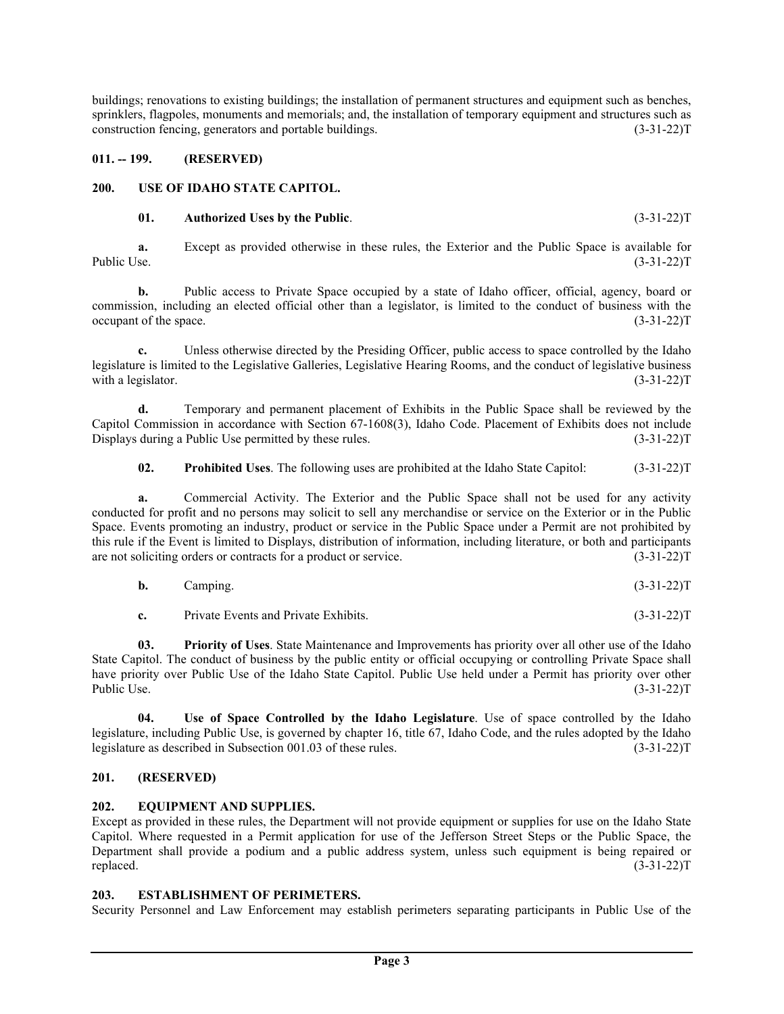buildings; renovations to existing buildings; the installation of permanent structures and equipment such as benches, sprinklers, flagpoles, monuments and memorials; and, the installation of temporary equipment and structures such as construction fencing, generators and portable buildings. (3-31-22)T

### **011. -- 199. (RESERVED)**

### **200. USE OF IDAHO STATE CAPITOL.**

### **01. Authorized Uses by the Public**. (3-31-22)T

**a.** Except as provided otherwise in these rules, the Exterior and the Public Space is available for Public Use. (3-31-22)T

**b.** Public access to Private Space occupied by a state of Idaho officer, official, agency, board or commission, including an elected official other than a legislator, is limited to the conduct of business with the occupant of the space.  $(3-31-22)T$ 

**c.** Unless otherwise directed by the Presiding Officer, public access to space controlled by the Idaho legislature is limited to the Legislative Galleries, Legislative Hearing Rooms, and the conduct of legislative business with a legislator. (3-31-22)T

**d.** Temporary and permanent placement of Exhibits in the Public Space shall be reviewed by the Capitol Commission in accordance with Section 67-1608(3), Idaho Code. Placement of Exhibits does not include Displays during a Public Use permitted by these rules. (3-31-22) (3-31-22) T

**02. Prohibited Uses**. The following uses are prohibited at the Idaho State Capitol: (3-31-22)T

**a.** Commercial Activity. The Exterior and the Public Space shall not be used for any activity conducted for profit and no persons may solicit to sell any merchandise or service on the Exterior or in the Public Space. Events promoting an industry, product or service in the Public Space under a Permit are not prohibited by this rule if the Event is limited to Displays, distribution of information, including literature, or both and participants are not soliciting orders or contracts for a product or service. (3-31-22)T

| <b>b.</b> | Camping. | $(3-31-22)T$ |
|-----------|----------|--------------|
|-----------|----------|--------------|

**c.** Private Events and Private Exhibits. (3-31-22)T

**03. Priority of Uses**. State Maintenance and Improvements has priority over all other use of the Idaho State Capitol. The conduct of business by the public entity or official occupying or controlling Private Space shall have priority over Public Use of the Idaho State Capitol. Public Use held under a Permit has priority over other Public Use. (3-31-22)T

**04. Use of Space Controlled by the Idaho Legislature**. Use of space controlled by the Idaho legislature, including Public Use, is governed by chapter 16, title 67, Idaho Code, and the rules adopted by the Idaho legislature as described in Subsection 001.03 of these rules. (3-31-22)T

# **201. (RESERVED)**

### **202. EQUIPMENT AND SUPPLIES.**

Except as provided in these rules, the Department will not provide equipment or supplies for use on the Idaho State Capitol. Where requested in a Permit application for use of the Jefferson Street Steps or the Public Space, the Department shall provide a podium and a public address system, unless such equipment is being repaired or replaced.  $(3-31-22)T$ 

### **203. ESTABLISHMENT OF PERIMETERS.**

Security Personnel and Law Enforcement may establish perimeters separating participants in Public Use of the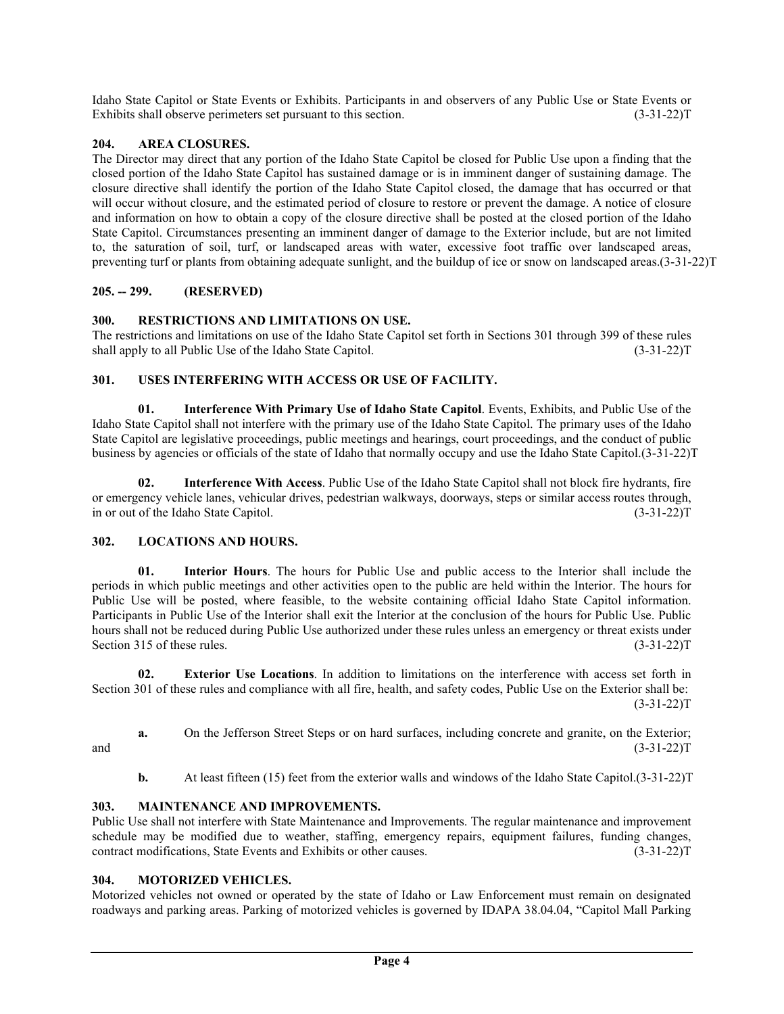Idaho State Capitol or State Events or Exhibits. Participants in and observers of any Public Use or State Events or Exhibits shall observe perimeters set pursuant to this section. (3-31-22) [3-31-22]

# **204. AREA CLOSURES.**

The Director may direct that any portion of the Idaho State Capitol be closed for Public Use upon a finding that the closed portion of the Idaho State Capitol has sustained damage or is in imminent danger of sustaining damage. The closure directive shall identify the portion of the Idaho State Capitol closed, the damage that has occurred or that will occur without closure, and the estimated period of closure to restore or prevent the damage. A notice of closure and information on how to obtain a copy of the closure directive shall be posted at the closed portion of the Idaho State Capitol. Circumstances presenting an imminent danger of damage to the Exterior include, but are not limited to, the saturation of soil, turf, or landscaped areas with water, excessive foot traffic over landscaped areas, preventing turf or plants from obtaining adequate sunlight, and the buildup of ice or snow on landscaped areas.(3-31-22)T

## **205. -- 299. (RESERVED)**

## **300. RESTRICTIONS AND LIMITATIONS ON USE.**

The restrictions and limitations on use of the Idaho State Capitol set forth in Sections 301 through 399 of these rules shall apply to all Public Use of the Idaho State Capitol. (3-31-22)T

# **301. USES INTERFERING WITH ACCESS OR USE OF FACILITY.**

**01. Interference With Primary Use of Idaho State Capitol**. Events, Exhibits, and Public Use of the Idaho State Capitol shall not interfere with the primary use of the Idaho State Capitol. The primary uses of the Idaho State Capitol are legislative proceedings, public meetings and hearings, court proceedings, and the conduct of public business by agencies or officials of the state of Idaho that normally occupy and use the Idaho State Capitol.(3-31-22)T

**02. Interference With Access**. Public Use of the Idaho State Capitol shall not block fire hydrants, fire or emergency vehicle lanes, vehicular drives, pedestrian walkways, doorways, steps or similar access routes through, in or out of the Idaho State Capitol. (3-31-22)T

# **302. LOCATIONS AND HOURS.**

**01. Interior Hours**. The hours for Public Use and public access to the Interior shall include the periods in which public meetings and other activities open to the public are held within the Interior. The hours for Public Use will be posted, where feasible, to the website containing official Idaho State Capitol information. Participants in Public Use of the Interior shall exit the Interior at the conclusion of the hours for Public Use. Public hours shall not be reduced during Public Use authorized under these rules unless an emergency or threat exists under Section 315 of these rules. (3-31-22) T

**02. Exterior Use Locations**. In addition to limitations on the interference with access set forth in Section 301 of these rules and compliance with all fire, health, and safety codes, Public Use on the Exterior shall be:  $(3-31-22)T$ 

**a.** On the Jefferson Street Steps or on hard surfaces, including concrete and granite, on the Exterior;  $(3-31-22)T$  (3.31)

**b.** At least fifteen (15) feet from the exterior walls and windows of the Idaho State Capitol.(3-31-22)T

### **303. MAINTENANCE AND IMPROVEMENTS.**

Public Use shall not interfere with State Maintenance and Improvements. The regular maintenance and improvement schedule may be modified due to weather, staffing, emergency repairs, equipment failures, funding changes, contract modifications, State Events and Exhibits or other causes. (3-31-22)T

### **304. MOTORIZED VEHICLES.**

Motorized vehicles not owned or operated by the state of Idaho or Law Enforcement must remain on designated roadways and parking areas. Parking of motorized vehicles is governed by IDAPA 38.04.04, "Capitol Mall Parking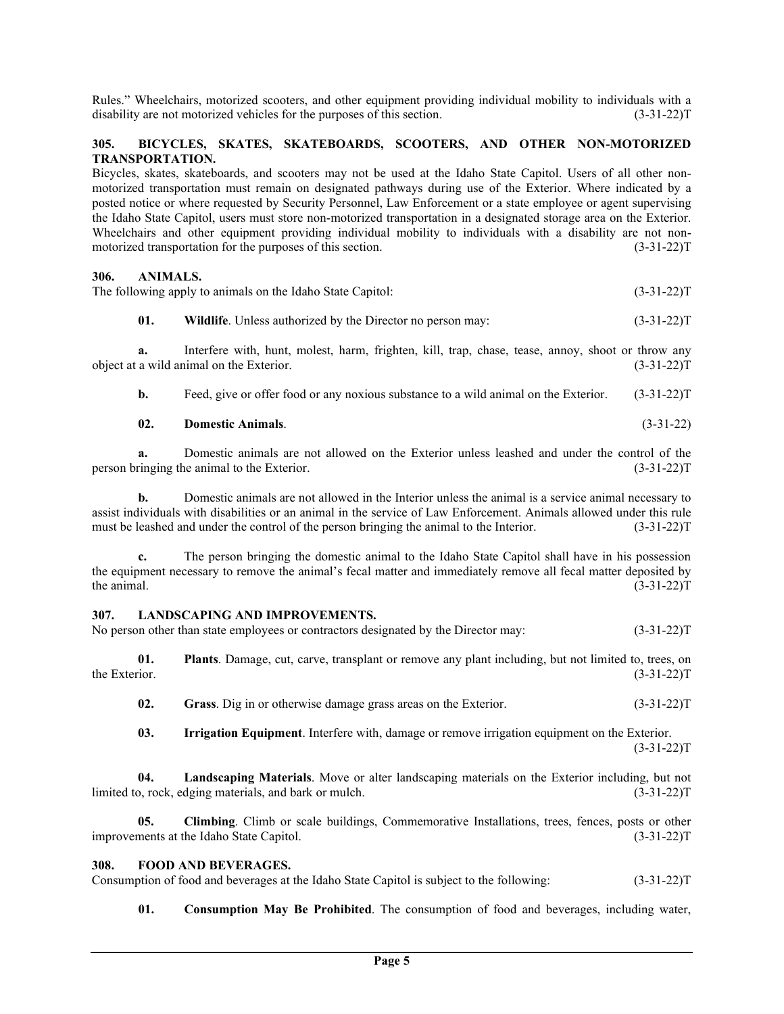Rules." Wheelchairs, motorized scooters, and other equipment providing individual mobility to individuals with a disability are not motorized vehicles for the purposes of this section. (3-31-22)T

# **305. BICYCLES, SKATES, SKATEBOARDS, SCOOTERS, AND OTHER NON-MOTORIZED TRANSPORTATION.**

Bicycles, skates, skateboards, and scooters may not be used at the Idaho State Capitol. Users of all other nonmotorized transportation must remain on designated pathways during use of the Exterior. Where indicated by a posted notice or where requested by Security Personnel, Law Enforcement or a state employee or agent supervising the Idaho State Capitol, users must store non-motorized transportation in a designated storage area on the Exterior. Wheelchairs and other equipment providing individual mobility to individuals with a disability are not nonmotorized transportation for the purposes of this section. (3-31-22) T

### **306. ANIMALS.**

| The following apply to animals on the Idaho State Capitol:<br>$(3-31-22)T$ |  |
|----------------------------------------------------------------------------|--|
|----------------------------------------------------------------------------|--|

## **01. Wildlife**. Unless authorized by the Director no person may: (3-31-22)T

**a.** Interfere with, hunt, molest, harm, frighten, kill, trap, chase, tease, annoy, shoot or throw any object at a wild animal on the Exterior. (3-31-22)T

**b.** Feed, give or offer food or any noxious substance to a wild animal on the Exterior. (3-31-22)T

# **02. Domestic Animals**. (3-31-22)

**a.** Domestic animals are not allowed on the Exterior unless leashed and under the control of the person bringing the animal to the Exterior. (3-31-22)T

**b.** Domestic animals are not allowed in the Interior unless the animal is a service animal necessary to assist individuals with disabilities or an animal in the service of Law Enforcement. Animals allowed under this rule must be leashed and under the control of the person bringing the animal to the Interior. (3-31-22)T

**c.** The person bringing the domestic animal to the Idaho State Capitol shall have in his possession the equipment necessary to remove the animal's fecal matter and immediately remove all fecal matter deposited by the animal.  $(3-31-22)T$ 

#### **307. LANDSCAPING AND IMPROVEMENTS.**

No person other than state employees or contractors designated by the Director may: (3-31-22)T

**01. Plants**. Damage, cut, carve, transplant or remove any plant including, but not limited to, trees, on the Exterior.  $(3-31-22)T$ 

**02. Grass**. Dig in or otherwise damage grass areas on the Exterior. (3-31-22)T

**03. Irrigation Equipment**. Interfere with, damage or remove irrigation equipment on the Exterior.  $(3-31-22)T$ 

**04. Landscaping Materials**. Move or alter landscaping materials on the Exterior including, but not limited to, rock, edging materials, and bark or mulch. (3-31-22)T

**05. Climbing**. Climb or scale buildings, Commemorative Installations, trees, fences, posts or other improvements at the Idaho State Capitol. (3-31-22)T

### **308. FOOD AND BEVERAGES.**

Consumption of food and beverages at the Idaho State Capitol is subject to the following: (3-31-22)T

**01. Consumption May Be Prohibited**. The consumption of food and beverages, including water,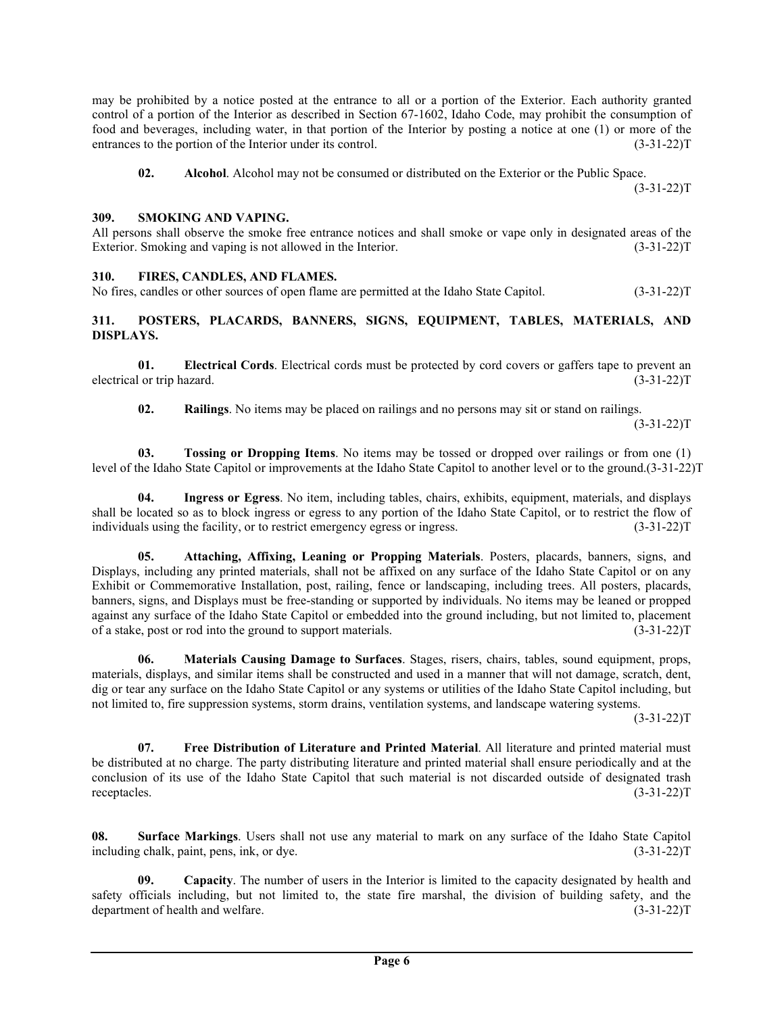may be prohibited by a notice posted at the entrance to all or a portion of the Exterior. Each authority granted control of a portion of the Interior as described in Section 67-1602, Idaho Code, may prohibit the consumption of food and beverages, including water, in that portion of the Interior by posting a notice at one (1) or more of the entrances to the portion of the Interior under its control. (3-31-22) (3-31-22) T

**02. Alcohol**. Alcohol may not be consumed or distributed on the Exterior or the Public Space.

 $(3-31-22)T$ 

### **309. SMOKING AND VAPING.**

All persons shall observe the smoke free entrance notices and shall smoke or vape only in designated areas of the Exterior. Smoking and vaping is not allowed in the Interior. (3-31-22) T

#### **310. FIRES, CANDLES, AND FLAMES.**

No fires, candles or other sources of open flame are permitted at the Idaho State Capitol. (3-31-22)T

# **311. POSTERS, PLACARDS, BANNERS, SIGNS, EQUIPMENT, TABLES, MATERIALS, AND DISPLAYS.**

**01. Electrical Cords**. Electrical cords must be protected by cord covers or gaffers tape to prevent an electrical or trip hazard. (3-31-22)T

**02. Railings**. No items may be placed on railings and no persons may sit or stand on railings.

 $(3-31-22)T$ 

**03. Tossing or Dropping Items**. No items may be tossed or dropped over railings or from one (1) level of the Idaho State Capitol or improvements at the Idaho State Capitol to another level or to the ground.(3-31-22)T

**04. Ingress or Egress**. No item, including tables, chairs, exhibits, equipment, materials, and displays shall be located so as to block ingress or egress to any portion of the Idaho State Capitol, or to restrict the flow of individuals using the facility, or to restrict emergency egress or ingress. (3-31-22)T

**05. Attaching, Affixing, Leaning or Propping Materials**. Posters, placards, banners, signs, and Displays, including any printed materials, shall not be affixed on any surface of the Idaho State Capitol or on any Exhibit or Commemorative Installation, post, railing, fence or landscaping, including trees. All posters, placards, banners, signs, and Displays must be free-standing or supported by individuals. No items may be leaned or propped against any surface of the Idaho State Capitol or embedded into the ground including, but not limited to, placement of a stake, post or rod into the ground to support materials. (3-31-22)T

**06. Materials Causing Damage to Surfaces**. Stages, risers, chairs, tables, sound equipment, props, materials, displays, and similar items shall be constructed and used in a manner that will not damage, scratch, dent, dig or tear any surface on the Idaho State Capitol or any systems or utilities of the Idaho State Capitol including, but not limited to, fire suppression systems, storm drains, ventilation systems, and landscape watering systems.

 $(3-31-22)T$ 

**07. Free Distribution of Literature and Printed Material**. All literature and printed material must be distributed at no charge. The party distributing literature and printed material shall ensure periodically and at the conclusion of its use of the Idaho State Capitol that such material is not discarded outside of designated trash receptacles. (3-31-22) receptacles.  $(3-31-22)T$ 

**08. Surface Markings**. Users shall not use any material to mark on any surface of the Idaho State Capitol including chalk, paint, pens, ink, or dye. (3-31-22)T

**09. Capacity**. The number of users in the Interior is limited to the capacity designated by health and safety officials including, but not limited to, the state fire marshal, the division of building safety, and the department of health and welfare. (3-31-22)T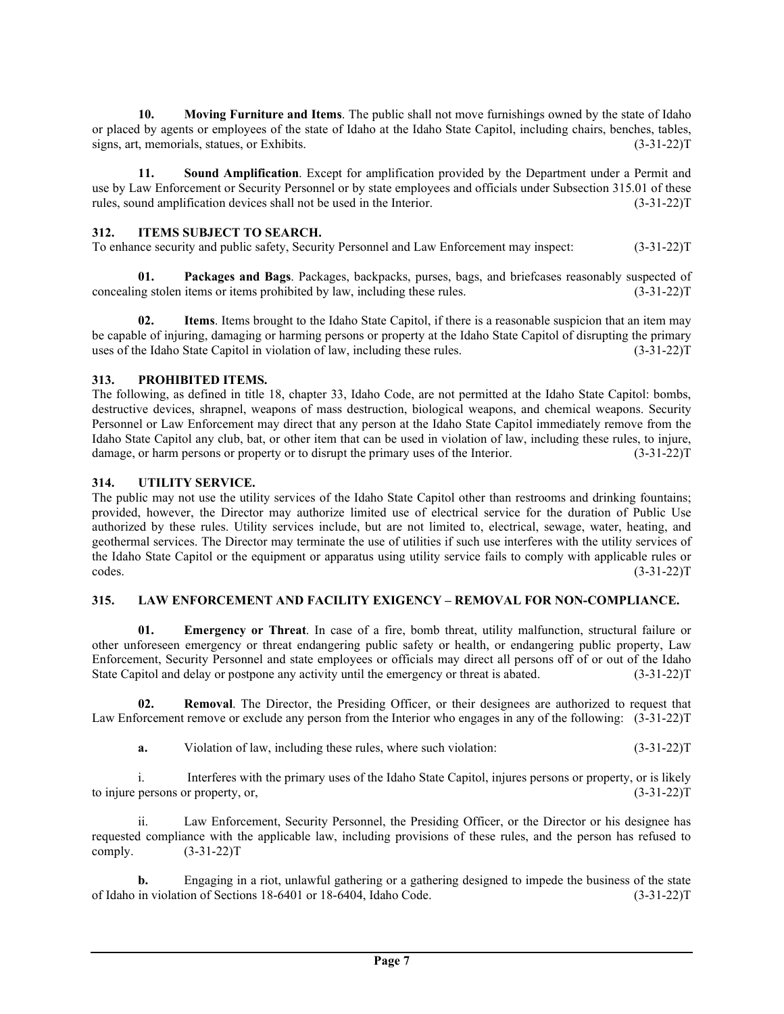**10. Moving Furniture and Items**. The public shall not move furnishings owned by the state of Idaho or placed by agents or employees of the state of Idaho at the Idaho State Capitol, including chairs, benches, tables, signs, art, memorials, statues, or Exhibits. (3-31-22)T

**11. Sound Amplification**. Except for amplification provided by the Department under a Permit and use by Law Enforcement or Security Personnel or by state employees and officials under Subsection 315.01 of these rules, sound amplification devices shall not be used in the Interior. (3-31-22)T

## **312. ITEMS SUBJECT TO SEARCH.**

To enhance security and public safety, Security Personnel and Law Enforcement may inspect: (3-31-22)T

**01. Packages and Bags**. Packages, backpacks, purses, bags, and briefcases reasonably suspected of concealing stolen items or items prohibited by law, including these rules. (3-31-22)T

**02. Items**. Items brought to the Idaho State Capitol, if there is a reasonable suspicion that an item may be capable of injuring, damaging or harming persons or property at the Idaho State Capitol of disrupting the primary uses of the Idaho State Capitol in violation of law, including these rules. (3-31-22)T

## **313. PROHIBITED ITEMS.**

The following, as defined in title 18, chapter 33, Idaho Code, are not permitted at the Idaho State Capitol: bombs, destructive devices, shrapnel, weapons of mass destruction, biological weapons, and chemical weapons. Security Personnel or Law Enforcement may direct that any person at the Idaho State Capitol immediately remove from the Idaho State Capitol any club, bat, or other item that can be used in violation of law, including these rules, to injure, damage, or harm persons or property or to disrupt the primary uses of the Interior. (3-31-22) T

## **314. UTILITY SERVICE.**

The public may not use the utility services of the Idaho State Capitol other than restrooms and drinking fountains; provided, however, the Director may authorize limited use of electrical service for the duration of Public Use authorized by these rules. Utility services include, but are not limited to, electrical, sewage, water, heating, and geothermal services. The Director may terminate the use of utilities if such use interferes with the utility services of the Idaho State Capitol or the equipment or apparatus using utility service fails to comply with applicable rules or  $\csc$  codes.  $(3-31-22)T$ 

### **315. LAW ENFORCEMENT AND FACILITY EXIGENCY – REMOVAL FOR NON-COMPLIANCE.**

**01. Emergency or Threat**. In case of a fire, bomb threat, utility malfunction, structural failure or other unforeseen emergency or threat endangering public safety or health, or endangering public property, Law Enforcement, Security Personnel and state employees or officials may direct all persons off of or out of the Idaho State Capitol and delay or postpone any activity until the emergency or threat is abated. (3-31-22)T

**02. Removal**. The Director, the Presiding Officer, or their designees are authorized to request that Law Enforcement remove or exclude any person from the Interior who engages in any of the following: (3-31-22)T

**a.** Violation of law, including these rules, where such violation: (3-31-22)T

i. Interferes with the primary uses of the Idaho State Capitol, injures persons or property, or is likely to injure persons or property, or, (3-31-22)T

ii. Law Enforcement, Security Personnel, the Presiding Officer, or the Director or his designee has requested compliance with the applicable law, including provisions of these rules, and the person has refused to comply. (3-31-22)T

**b.** Engaging in a riot, unlawful gathering or a gathering designed to impede the business of the state of Idaho in violation of Sections 18-6401 or 18-6404, Idaho Code. (3-31-22)T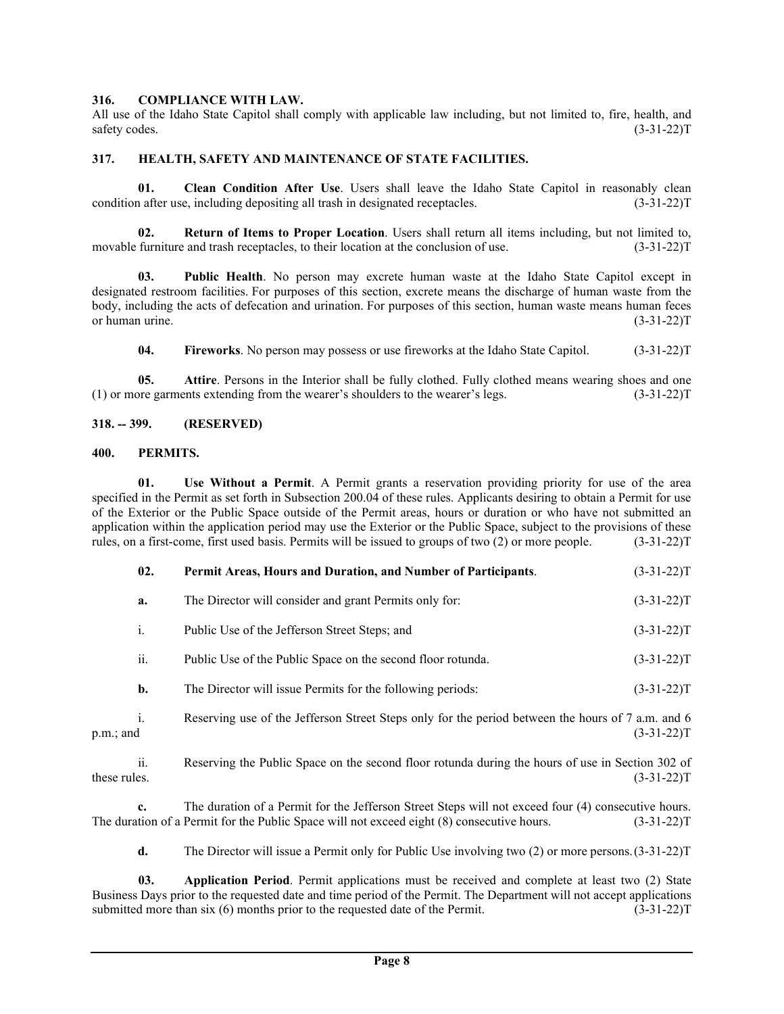### **316. COMPLIANCE WITH LAW.**

All use of the Idaho State Capitol shall comply with applicable law including, but not limited to, fire, health, and  $s$ afety codes.  $(3-31-22)$ T

### **317. HEALTH, SAFETY AND MAINTENANCE OF STATE FACILITIES.**

**01. Clean Condition After Use**. Users shall leave the Idaho State Capitol in reasonably clean condition after use, including depositing all trash in designated receptacles. (3-31-22)T

**02. Return of Items to Proper Location**. Users shall return all items including, but not limited to, movable furniture and trash receptacles, to their location at the conclusion of use. (3-31-22) T

**03. Public Health**. No person may excrete human waste at the Idaho State Capitol except in designated restroom facilities. For purposes of this section, excrete means the discharge of human waste from the body, including the acts of defecation and urination. For purposes of this section, human waste means human feces or human urine.  $(3-31-22)T$ 

**04. Fireworks**. No person may possess or use fireworks at the Idaho State Capitol. (3-31-22)T

**05. Attire**. Persons in the Interior shall be fully clothed. Fully clothed means wearing shoes and one ore garments extending from the wearer's shoulders to the wearer's legs. (3-31-22)  $(1)$  or more garments extending from the wearer's shoulders to the wearer's legs.

#### **318. -- 399. (RESERVED)**

#### **400. PERMITS.**

**01. Use Without a Permit**. A Permit grants a reservation providing priority for use of the area specified in the Permit as set forth in Subsection 200.04 of these rules. Applicants desiring to obtain a Permit for use of the Exterior or the Public Space outside of the Permit areas, hours or duration or who have not submitted an application within the application period may use the Exterior or the Public Space, subject to the provisions of these rules, on a first-come, first used basis. Permits will be issued to groups of two (2) or more people. (3-31-22)T

|              | 02.                                                                                                     | Permit Areas, Hours and Duration, and Number of Participants.                                                    | $(3-31-22)T$ |
|--------------|---------------------------------------------------------------------------------------------------------|------------------------------------------------------------------------------------------------------------------|--------------|
|              | a.                                                                                                      | The Director will consider and grant Permits only for:                                                           | $(3-31-22)T$ |
|              | i.                                                                                                      | Public Use of the Jefferson Street Steps; and                                                                    | $(3-31-22)T$ |
|              | ii.                                                                                                     | Public Use of the Public Space on the second floor rotunda.                                                      | $(3-31-22)T$ |
|              | b.                                                                                                      | The Director will issue Permits for the following periods:                                                       | $(3-31-22)T$ |
| p.m.; and    | i.<br>Reserving use of the Jefferson Street Steps only for the period between the hours of 7 a.m. and 6 |                                                                                                                  | $(3-31-22)T$ |
| these rules. | ii.                                                                                                     | Reserving the Public Space on the second floor rotunda during the hours of use in Section 302 of<br>$(3-31-22)T$ |              |

**c.** The duration of a Permit for the Jefferson Street Steps will not exceed four (4) consecutive hours. The duration of a Permit for the Public Space will not exceed eight (8) consecutive hours. (3-31-22)T

**d.** The Director will issue a Permit only for Public Use involving two (2) or more persons.(3-31-22)T

**03. Application Period**. Permit applications must be received and complete at least two (2) State Business Days prior to the requested date and time period of the Permit. The Department will not accept applications submitted more than six (6) months prior to the requested date of the Permit. (3-31-22)T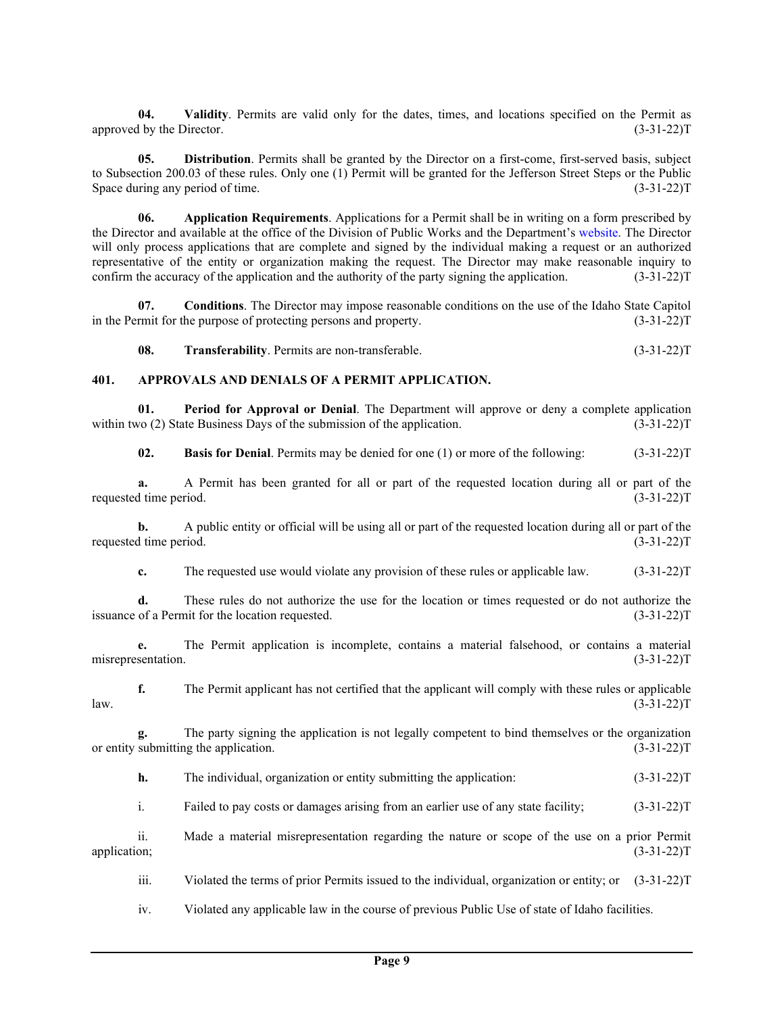**04. Validity**. Permits are valid only for the dates, times, and locations specified on the Permit as approved by the Director. (3-31-22)T

**05. Distribution**. Permits shall be granted by the Director on a first-come, first-served basis, subject to Subsection 200.03 of these rules. Only one (1) Permit will be granted for the Jefferson Street Steps or the Public Space during any period of time. (3-31-22)T

**06. Application Requirements**. Applications for a Permit shall be in writing on a form prescribed by the Director and available at the office of the Division of Public Works and the Department's [website.](https://adm.idaho.gov/) The Director will only process applications that are complete and signed by the individual making a request or an authorized representative of the entity or organization making the request. The Director may make reasonable inquiry to confirm the accuracy of the application and the authority of the party signing the application. (3-31-22)T

**07. Conditions**. The Director may impose reasonable conditions on the use of the Idaho State Capitol in the Permit for the purpose of protecting persons and property. (3-31-22)T

**08. Transferability**. Permits are non-transferable. (3-31-22)T

# **401. APPROVALS AND DENIALS OF A PERMIT APPLICATION.**

**01. Period for Approval or Denial**. The Department will approve or deny a complete application within two (2) State Business Days of the submission of the application. (3-31-22) (3-31-22) T

**02. Basis for Denial**. Permits may be denied for one (1) or more of the following: (3-31-22)T

**a.** A Permit has been granted for all or part of the requested location during all or part of the requested time period. (3-31-22)T

**b.** A public entity or official will be using all or part of the requested location during all or part of the requested time period. (3-31-22)T

**c.** The requested use would violate any provision of these rules or applicable law. (3-31-22)T

**d.** These rules do not authorize the use for the location or times requested or do not authorize the issuance of a Permit for the location requested. (3-31-22)T

**e.** The Permit application is incomplete, contains a material falsehood, or contains a material misrepresentation. (3-31-22)T

**f.** The Permit applicant has not certified that the applicant will comply with these rules or applicable (3-31-22)T  $l$ aw.  $(3-31-22)T$ 

**g.** The party signing the application is not legally competent to bind themselves or the organization submitting the application. (3-31-22) or entity submitting the application.

**h.** The individual, organization or entity submitting the application: (3-31-22)T

i. Failed to pay costs or damages arising from an earlier use of any state facility; (3-31-22)T

ii. Made a material misrepresentation regarding the nature or scope of the use on a prior Permit application; (3-31-22)T

iii. Violated the terms of prior Permits issued to the individual, organization or entity; or (3-31-22)T

iv. Violated any applicable law in the course of previous Public Use of state of Idaho facilities.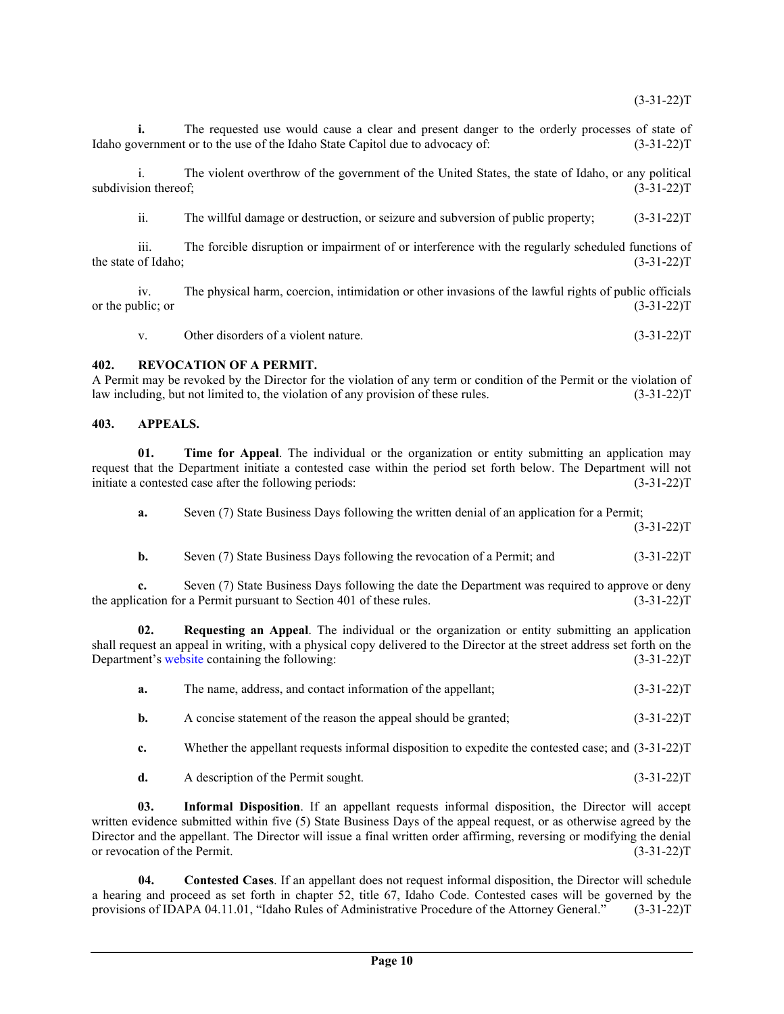**i.** The requested use would cause a clear and present danger to the orderly processes of state of vernment or to the use of the Idaho State Capitol due to advocacy of:  $(3-31-22)$ T Idaho government or to the use of the Idaho State Capitol due to advocacy of:

i. The violent overthrow of the government of the United States, the state of Idaho, or any political subdivision thereof; (3-31-22)T

ii. The willful damage or destruction, or seizure and subversion of public property; (3-31-22)T

iii. The forcible disruption or impairment of or interference with the regularly scheduled functions of the state of Idaho; (3-31-22)T

iv. The physical harm, coercion, intimidation or other invasions of the lawful rights of public officials or the public; or  $(3-31-22)T$ 

v. Other disorders of a violent nature. (3-31-22) T

#### **402. REVOCATION OF A PERMIT.**

A Permit may be revoked by the Director for the violation of any term or condition of the Permit or the violation of law including, but not limited to, the violation of any provision of these rules. (3-31-22)T

### **403. APPEALS.**

**01. Time for Appeal**. The individual or the organization or entity submitting an application may request that the Department initiate a contested case within the period set forth below. The Department will not initiate a contested case after the following periods: (3-31-22) T

**a.** Seven (7) State Business Days following the written denial of an application for a Permit;

 $(3-31-22)T$ 

**b.** Seven (7) State Business Days following the revocation of a Permit; and  $(3-31-22)T$ 

**c.** Seven (7) State Business Days following the date the Department was required to approve or deny the application for a Permit pursuant to Section 401 of these rules. (3-31-22)T

**02. Requesting an Appeal**. The individual or the organization or entity submitting an application shall request an appeal in writing, with a physical copy delivered to the Director at the street address set forth on the Department's [website](https://adm.idaho.gov/) containing the following: (3-31-22)T

| a. |  | The name, address, and contact information of the appellant; | $(3-31-22)T$ |
|----|--|--------------------------------------------------------------|--------------|
|----|--|--------------------------------------------------------------|--------------|

- **b.** A concise statement of the reason the appeal should be granted;  $(3-31-22)T$
- **c.** Whether the appellant requests informal disposition to expedite the contested case; and (3-31-22)T
- **d.** A description of the Permit sought. (3-31-22)T

**03. Informal Disposition**. If an appellant requests informal disposition, the Director will accept written evidence submitted within five (5) State Business Days of the appeal request, or as otherwise agreed by the Director and the appellant. The Director will issue a final written order affirming, reversing or modifying the denial or revocation of the Permit. (3-31-22)T

**04. Contested Cases**. If an appellant does not request informal disposition, the Director will schedule a hearing and proceed as set forth in chapter 52, title 67, Idaho Code. Contested cases will be governed by the provisions of IDAPA 04.11.01, "Idaho Rules of Administrative Procedure of the Attorney General." (3-31-22)T